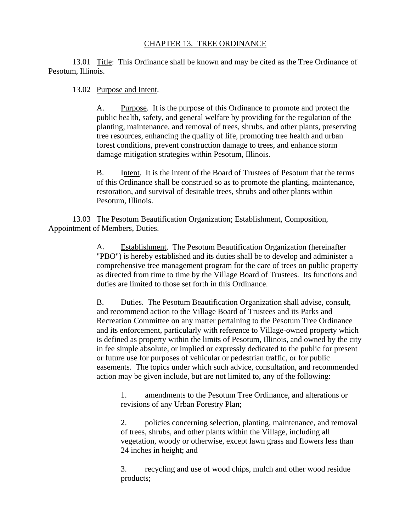## CHAPTER 13. TREE ORDINANCE

13.01 Title: This Ordinance shall be known and may be cited as the Tree Ordinance of Pesotum, Illinois.

13.02 Purpose and Intent.

A. Purpose. It is the purpose of this Ordinance to promote and protect the public health, safety, and general welfare by providing for the regulation of the planting, maintenance, and removal of trees, shrubs, and other plants, preserving tree resources, enhancing the quality of life, promoting tree health and urban forest conditions, prevent construction damage to trees, and enhance storm damage mitigation strategies within Pesotum, Illinois.

B. Intent. It is the intent of the Board of Trustees of Pesotum that the terms of this Ordinance shall be construed so as to promote the planting, maintenance, restoration, and survival of desirable trees, shrubs and other plants within Pesotum, Illinois.

13.03 The Pesotum Beautification Organization; Establishment, Composition, Appointment of Members, Duties.

> A. Establishment. The Pesotum Beautification Organization (hereinafter "PBO") is hereby established and its duties shall be to develop and administer a comprehensive tree management program for the care of trees on public property as directed from time to time by the Village Board of Trustees. Its functions and duties are limited to those set forth in this Ordinance.

B. Duties. The Pesotum Beautification Organization shall advise, consult, and recommend action to the Village Board of Trustees and its Parks and Recreation Committee on any matter pertaining to the Pesotum Tree Ordinance and its enforcement, particularly with reference to Village-owned property which is defined as property within the limits of Pesotum, Illinois, and owned by the city in fee simple absolute, or implied or expressly dedicated to the public for present or future use for purposes of vehicular or pedestrian traffic, or for public easements. The topics under which such advice, consultation, and recommended action may be given include, but are not limited to, any of the following:

1. amendments to the Pesotum Tree Ordinance, and alterations or revisions of any Urban Forestry Plan;

2. policies concerning selection, planting, maintenance, and removal of trees, shrubs, and other plants within the Village, including all vegetation, woody or otherwise, except lawn grass and flowers less than 24 inches in height; and

3. recycling and use of wood chips, mulch and other wood residue products;